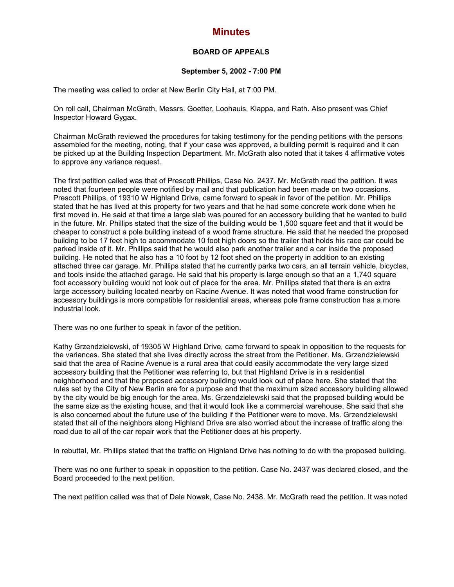## **Minutes**

## **BOARD OF APPEALS**

## **September 5, 2002 - 7:00 PM**

The meeting was called to order at New Berlin City Hall, at 7:00 PM.

On roll call, Chairman McGrath, Messrs. Goetter, Loohauis, Klappa, and Rath. Also present was Chief Inspector Howard Gygax.

Chairman McGrath reviewed the procedures for taking testimony for the pending petitions with the persons assembled for the meeting, noting, that if your case was approved, a building permit is required and it can be picked up at the Building Inspection Department. Mr. McGrath also noted that it takes 4 affirmative votes to approve any variance request.

The first petition called was that of Prescott Phillips, Case No. 2437. Mr. McGrath read the petition. It was noted that fourteen people were notified by mail and that publication had been made on two occasions. Prescott Phillips, of 19310 W Highland Drive, came forward to speak in favor of the petition. Mr. Phillips stated that he has lived at this property for two years and that he had some concrete work done when he first moved in. He said at that time a large slab was poured for an accessory building that he wanted to build in the future. Mr. Phillips stated that the size of the building would be 1,500 square feet and that it would be cheaper to construct a pole building instead of a wood frame structure. He said that he needed the proposed building to be 17 feet high to accommodate 10 foot high doors so the trailer that holds his race car could be parked inside of it. Mr. Phillips said that he would also park another trailer and a car inside the proposed building. He noted that he also has a 10 foot by 12 foot shed on the property in addition to an existing attached three car garage. Mr. Phillips stated that he currently parks two cars, an all terrain vehicle, bicycles, and tools inside the attached garage. He said that his property is large enough so that an a 1,740 square foot accessory building would not look out of place for the area. Mr. Phillips stated that there is an extra large accessory building located nearby on Racine Avenue. It was noted that wood frame construction for accessory buildings is more compatible for residential areas, whereas pole frame construction has a more industrial look.

There was no one further to speak in favor of the petition.

Kathy Grzendzielewski, of 19305 W Highland Drive, came forward to speak in opposition to the requests for the variances. She stated that she lives directly across the street from the Petitioner. Ms. Grzendzielewski said that the area of Racine Avenue is a rural area that could easily accommodate the very large sized accessory building that the Petitioner was referring to, but that Highland Drive is in a residential neighborhood and that the proposed accessory building would look out of place here. She stated that the rules set by the City of New Berlin are for a purpose and that the maximum sized accessory building allowed by the city would be big enough for the area. Ms. Grzendzielewski said that the proposed building would be the same size as the existing house, and that it would look like a commercial warehouse. She said that she is also concerned about the future use of the building if the Petitioner were to move. Ms. Grzendzielewski stated that all of the neighbors along Highland Drive are also worried about the increase of traffic along the road due to all of the car repair work that the Petitioner does at his property.

In rebuttal, Mr. Phillips stated that the traffic on Highland Drive has nothing to do with the proposed building.

There was no one further to speak in opposition to the petition. Case No. 2437 was declared closed, and the Board proceeded to the next petition.

The next petition called was that of Dale Nowak, Case No. 2438. Mr. McGrath read the petition. It was noted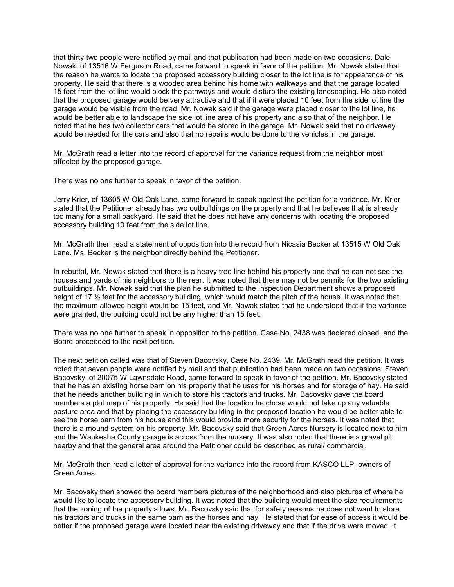that thirty-two people were notified by mail and that publication had been made on two occasions. Dale Nowak, of 13516 W Ferguson Road, came forward to speak in favor of the petition. Mr. Nowak stated that the reason he wants to locate the proposed accessory building closer to the lot line is for appearance of his property. He said that there is a wooded area behind his home with walkways and that the garage located 15 feet from the lot line would block the pathways and would disturb the existing landscaping. He also noted that the proposed garage would be very attractive and that if it were placed 10 feet from the side lot line the garage would be visible from the road. Mr. Nowak said if the garage were placed closer to the lot line, he would be better able to landscape the side lot line area of his property and also that of the neighbor. He noted that he has two collector cars that would be stored in the garage. Mr. Nowak said that no driveway would be needed for the cars and also that no repairs would be done to the vehicles in the garage.

Mr. McGrath read a letter into the record of approval for the variance request from the neighbor most affected by the proposed garage.

There was no one further to speak in favor of the petition.

Jerry Krier, of 13605 W Old Oak Lane, came forward to speak against the petition for a variance. Mr. Krier stated that the Petitioner already has two outbuildings on the property and that he believes that is already too many for a small backyard. He said that he does not have any concerns with locating the proposed accessory building 10 feet from the side lot line.

Mr. McGrath then read a statement of opposition into the record from Nicasia Becker at 13515 W Old Oak Lane. Ms. Becker is the neighbor directly behind the Petitioner.

In rebuttal, Mr. Nowak stated that there is a heavy tree line behind his property and that he can not see the houses and yards of his neighbors to the rear. It was noted that there may not be permits for the two existing outbuildings. Mr. Nowak said that the plan he submitted to the Inspection Department shows a proposed height of 17  $\frac{1}{2}$  feet for the accessory building, which would match the pitch of the house. It was noted that the maximum allowed height would be 15 feet, and Mr. Nowak stated that he understood that if the variance were granted, the building could not be any higher than 15 feet.

There was no one further to speak in opposition to the petition. Case No. 2438 was declared closed, and the Board proceeded to the next petition.

The next petition called was that of Steven Bacovsky, Case No. 2439. Mr. McGrath read the petition. It was noted that seven people were notified by mail and that publication had been made on two occasions. Steven Bacovsky, of 20075 W Lawnsdale Road, came forward to speak in favor of the petition. Mr. Bacovsky stated that he has an existing horse barn on his property that he uses for his horses and for storage of hay. He said that he needs another building in which to store his tractors and trucks. Mr. Bacovsky gave the board members a plot map of his property. He said that the location he chose would not take up any valuable pasture area and that by placing the accessory building in the proposed location he would be better able to see the horse barn from his house and this would provide more security for the horses. It was noted that there is a mound system on his property. Mr. Bacovsky said that Green Acres Nursery is located next to him and the Waukesha County garage is across from the nursery. It was also noted that there is a gravel pit nearby and that the general area around the Petitioner could be described as rural/ commercial.

Mr. McGrath then read a letter of approval for the variance into the record from KASCO LLP, owners of Green Acres.

Mr. Bacovsky then showed the board members pictures of the neighborhood and also pictures of where he would like to locate the accessory building. It was noted that the building would meet the size requirements that the zoning of the property allows. Mr. Bacovsky said that for safety reasons he does not want to store his tractors and trucks in the same barn as the horses and hay. He stated that for ease of access it would be better if the proposed garage were located near the existing driveway and that if the drive were moved, it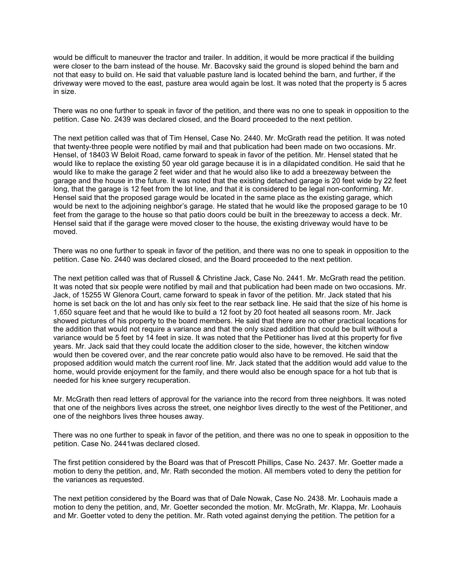would be difficult to maneuver the tractor and trailer. In addition, it would be more practical if the building were closer to the barn instead of the house. Mr. Bacovsky said the ground is sloped behind the barn and not that easy to build on. He said that valuable pasture land is located behind the barn, and further, if the driveway were moved to the east, pasture area would again be lost. It was noted that the property is 5 acres in size.

There was no one further to speak in favor of the petition, and there was no one to speak in opposition to the petition. Case No. 2439 was declared closed, and the Board proceeded to the next petition.

The next petition called was that of Tim Hensel, Case No. 2440. Mr. McGrath read the petition. It was noted that twenty-three people were notified by mail and that publication had been made on two occasions. Mr. Hensel, of 18403 W Beloit Road, came forward to speak in favor of the petition. Mr. Hensel stated that he would like to replace the existing 50 year old garage because it is in a dilapidated condition. He said that he would like to make the garage 2 feet wider and that he would also like to add a breezeway between the garage and the house in the future. It was noted that the existing detached garage is 20 feet wide by 22 feet long, that the garage is 12 feet from the lot line, and that it is considered to be legal non-conforming. Mr. Hensel said that the proposed garage would be located in the same place as the existing garage, which would be next to the adjoining neighbor's garage. He stated that he would like the proposed garage to be 10 feet from the garage to the house so that patio doors could be built in the breezeway to access a deck. Mr. Hensel said that if the garage were moved closer to the house, the existing driveway would have to be moved.

There was no one further to speak in favor of the petition, and there was no one to speak in opposition to the petition. Case No. 2440 was declared closed, and the Board proceeded to the next petition.

The next petition called was that of Russell & Christine Jack, Case No. 2441. Mr. McGrath read the petition. It was noted that six people were notified by mail and that publication had been made on two occasions. Mr. Jack, of 15255 W Glenora Court, came forward to speak in favor of the petition. Mr. Jack stated that his home is set back on the lot and has only six feet to the rear setback line. He said that the size of his home is 1,650 square feet and that he would like to build a 12 foot by 20 foot heated all seasons room. Mr. Jack showed pictures of his property to the board members. He said that there are no other practical locations for the addition that would not require a variance and that the only sized addition that could be built without a variance would be 5 feet by 14 feet in size. It was noted that the Petitioner has lived at this property for five years. Mr. Jack said that they could locate the addition closer to the side, however, the kitchen window would then be covered over, and the rear concrete patio would also have to be removed. He said that the proposed addition would match the current roof line. Mr. Jack stated that the addition would add value to the home, would provide enjoyment for the family, and there would also be enough space for a hot tub that is needed for his knee surgery recuperation.

Mr. McGrath then read letters of approval for the variance into the record from three neighbors. It was noted that one of the neighbors lives across the street, one neighbor lives directly to the west of the Petitioner, and one of the neighbors lives three houses away.

There was no one further to speak in favor of the petition, and there was no one to speak in opposition to the petition. Case No. 2441was declared closed.

The first petition considered by the Board was that of Prescott Phillips, Case No. 2437. Mr. Goetter made a motion to deny the petition, and, Mr. Rath seconded the motion. All members voted to deny the petition for the variances as requested.

The next petition considered by the Board was that of Dale Nowak, Case No. 2438. Mr. Loohauis made a motion to deny the petition, and, Mr. Goetter seconded the motion. Mr. McGrath, Mr. Klappa, Mr. Loohauis and Mr. Goetter voted to deny the petition. Mr. Rath voted against denying the petition. The petition for a